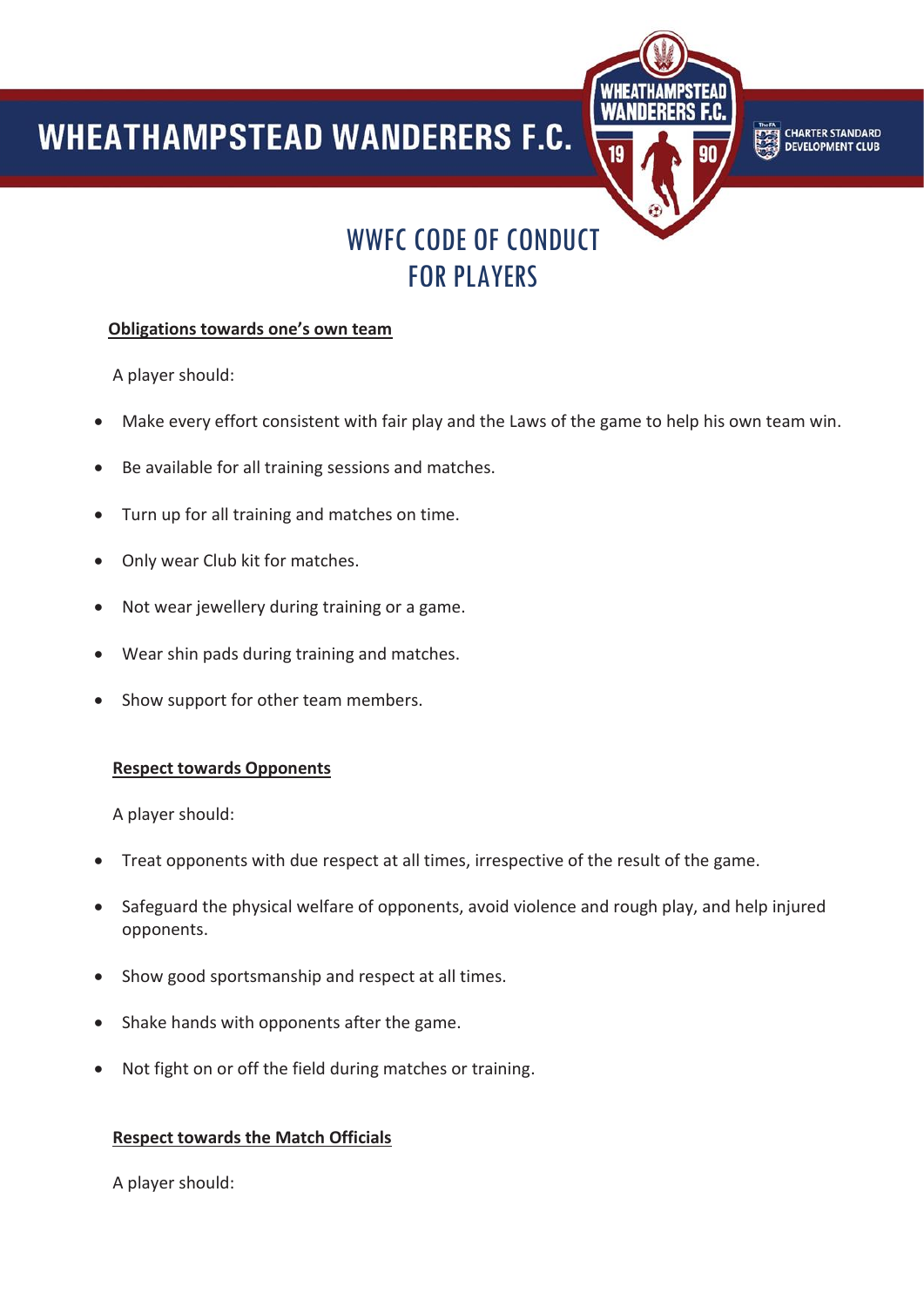# **WHEATHAMPSTEAD WANDERERS F.C.**



**CHARTER STANDARD**<br>DEVELOPMENT CLUB S.

# WWFC CODE OF CONDUCT FOR PLAYERS

#### **Obligations towards one's own team**

A player should:

Ī

- Make every effort consistent with fair play and the Laws of the game to help his own team win.
- Be available for all training sessions and matches.
- Turn up for all training and matches on time.
- Only wear Club kit for matches.
- Not wear jewellery during training or a game.
- Wear shin pads during training and matches.
- Show support for other team members.

#### **Respect towards Opponents**

A player should:

- Treat opponents with due respect at all times, irrespective of the result of the game.
- Safeguard the physical welfare of opponents, avoid violence and rough play, and help injured opponents.
- Show good sportsmanship and respect at all times.
- Shake hands with opponents after the game.
- Not fight on or off the field during matches or training.

#### **Respect towards the Match Officials**

A player should: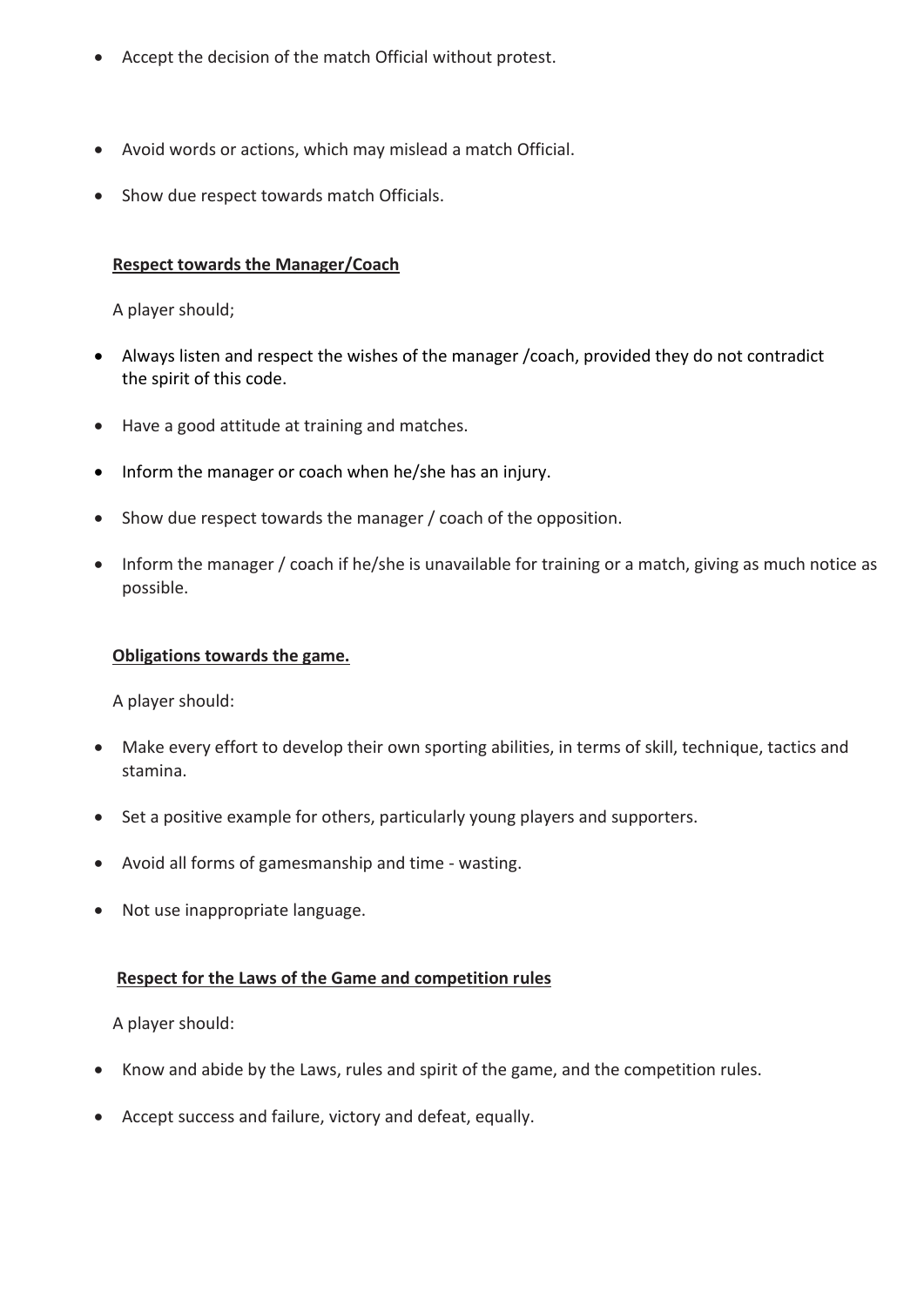- Accept the decision of the match Official without protest.
- Avoid words or actions, which may mislead a match Official.
- Show due respect towards match Officials.

## **Respect towards the Manager/Coach**

A player should;

- Always listen and respect the wishes of the manager /coach, provided they do not contradict the spirit of this code.
- Have a good attitude at training and matches.
- Inform the manager or coach when he/she has an injury.
- Show due respect towards the manager / coach of the opposition.
- Inform the manager / coach if he/she is unavailable for training or a match, giving as much notice as possible.

#### **Obligations towards the game.**

A player should:

- Make every effort to develop their own sporting abilities, in terms of skill, technique, tactics and stamina.
- Set a positive example for others, particularly young players and supporters.
- Avoid all forms of gamesmanship and time wasting.
- Not use inappropriate language.

#### **Respect for the Laws of the Game and competition rules**

A player should:

- Know and abide by the Laws, rules and spirit of the game, and the competition rules.
- Accept success and failure, victory and defeat, equally.